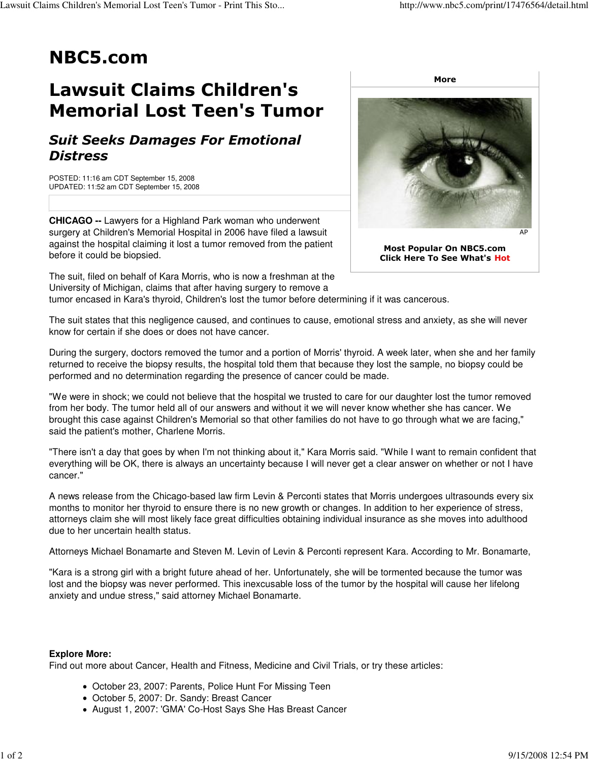## NBC5.com

## Lawsuit Claims Children's Memorial Lost Teen's Tumor

## Suit Seeks Damages For Emotional Distress

POSTED: 11:16 am CDT September 15, 2008 UPDATED: 11:52 am CDT September 15, 2008

**CHICAGO --** Lawyers for a Highland Park woman who underwent surgery at Children's Memorial Hospital in 2006 have filed a lawsuit against the hospital claiming it lost a tumor removed from the patient before it could be biopsied.



The suit, filed on behalf of Kara Morris, who is now a freshman at the University of Michigan, claims that after having surgery to remove a

tumor encased in Kara's thyroid, Children's lost the tumor before determining if it was cancerous.

The suit states that this negligence caused, and continues to cause, emotional stress and anxiety, as she will never know for certain if she does or does not have cancer.

During the surgery, doctors removed the tumor and a portion of Morris' thyroid. A week later, when she and her family returned to receive the biopsy results, the hospital told them that because they lost the sample, no biopsy could be performed and no determination regarding the presence of cancer could be made.

"We were in shock; we could not believe that the hospital we trusted to care for our daughter lost the tumor removed from her body. The tumor held all of our answers and without it we will never know whether she has cancer. We brought this case against Children's Memorial so that other families do not have to go through what we are facing," said the patient's mother, Charlene Morris.

"There isn't a day that goes by when I'm not thinking about it," Kara Morris said. "While I want to remain confident that everything will be OK, there is always an uncertainty because I will never get a clear answer on whether or not I have cancer."

A news release from the Chicago-based law firm Levin & Perconti states that Morris undergoes ultrasounds every six months to monitor her thyroid to ensure there is no new growth or changes. In addition to her experience of stress, attorneys claim she will most likely face great difficulties obtaining individual insurance as she moves into adulthood due to her uncertain health status.

Attorneys Michael Bonamarte and Steven M. Levin of Levin & Perconti represent Kara. According to Mr. Bonamarte,

"Kara is a strong girl with a bright future ahead of her. Unfortunately, she will be tormented because the tumor was lost and the biopsy was never performed. This inexcusable loss of the tumor by the hospital will cause her lifelong anxiety and undue stress," said attorney Michael Bonamarte.

## **Explore More:**

Find out more about Cancer, Health and Fitness, Medicine and Civil Trials, or try these articles:

- October 23, 2007: Parents, Police Hunt For Missing Teen
- October 5, 2007: Dr. Sandy: Breast Cancer
- August 1, 2007: 'GMA' Co-Host Says She Has Breast Cancer